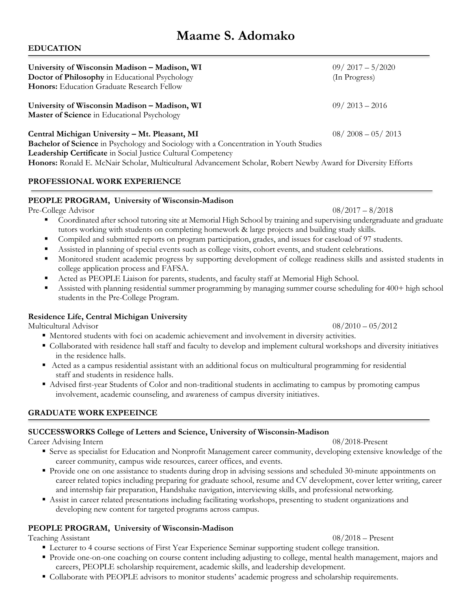# **Maame S. Adomako**

# **EDUCATION**

| University of Wisconsin Madison – Madison, WI<br>Doctor of Philosophy in Educational Psychology<br><b>Honors:</b> Education Graduate Research Fellow                                                           | $09/2017 - 5/2020$<br>(In Progress) |
|----------------------------------------------------------------------------------------------------------------------------------------------------------------------------------------------------------------|-------------------------------------|
| University of Wisconsin Madison - Madison, WI<br><b>Master of Science</b> in Educational Psychology                                                                                                            | $09/2013 - 2016$                    |
| Central Michigan University - Mt. Pleasant, MI<br><b>Bachelor of Science</b> in Psychology and Sociology with a Concentration in Youth Studies<br>Leadership Certificate in Social Justice Cultural Competency | $08/2008 - 05/2013$                 |

**Honors:** Ronald E. McNair Scholar, Multicultural Advancement Scholar, Robert Newby Award for Diversity Efforts

# **PROFESSIONAL WORK EXPERIENCE**

# **PEOPLE PROGRAM, University of Wisconsin-Madison**

Pre-College Advisor  $08/2017 - 8/2018$ 

- Coordinated after school tutoring site at Memorial High School by training and supervising undergraduate and graduate tutors working with students on completing homework & large projects and building study skills.
- Compiled and submitted reports on program participation, grades, and issues for caseload of 97 students.
- Assisted in planning of special events such as college visits, cohort events, and student celebrations.
- § Monitored student academic progress by supporting development of college readiness skills and assisted students in college application process and FAFSA.
- Acted as PEOPLE Liaison for parents, students, and faculty staff at Memorial High School.
- Assisted with planning residential summer programming by managing summer course scheduling for 400+ high school students in the Pre-College Program.

# **Residence Life, Central Michigan University**

Multicultural Advisor 08/2010 – 05/2012

- Mentored students with foci on academic achievement and involvement in diversity activities.
- § Collaborated with residence hall staff and faculty to develop and implement cultural workshops and diversity initiatives in the residence halls.
- Acted as a campus residential assistant with an additional focus on multicultural programming for residential staff and students in residence halls.
- Advised first-year Students of Color and non-traditional students in acclimating to campus by promoting campus involvement, academic counseling, and awareness of campus diversity initiatives.

# **GRADUATE WORK EXPEEINCE**

# **SUCCESSWORKS College of Letters and Science, University of Wisconsin-Madison**

Career Advising Intern 08/2018-Present

- § Serve as specialist for Education and Nonprofit Management career community, developing extensive knowledge of the career community, campus wide resources, career offices, and events.
- § Provide one on one assistance to students during drop in advising sessions and scheduled 30-minute appointments on career related topics including preparing for graduate school, resume and CV development, cover letter writing, career and internship fair preparation, Handshake navigation, interviewing skills, and professional networking.
- Assist in career related presentations including facilitating workshops, presenting to student organizations and developing new content for targeted programs across campus.

# **PEOPLE PROGRAM, University of Wisconsin-Madison**

Teaching Assistant 08/2018 – Present

- Lecturer to 4 course sections of First Year Experience Seminar supporting student college transition.
- § Provide one-on-one coaching on course content including adjusting to college, mental health management, majors and careers, PEOPLE scholarship requirement, academic skills, and leadership development.
- § Collaborate with PEOPLE advisors to monitor students' academic progress and scholarship requirements.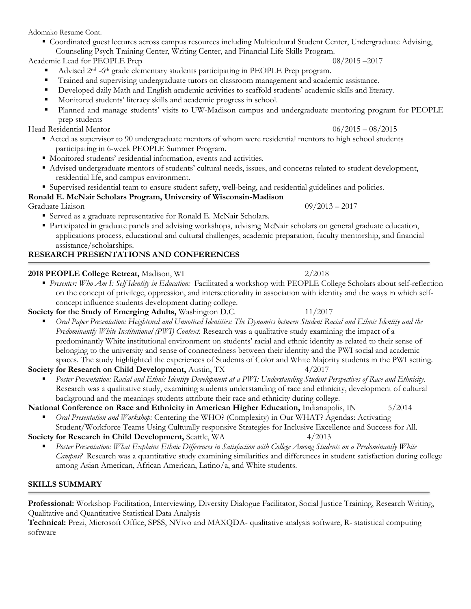Adomako Resume Cont.

§ Coordinated guest lectures across campus resources including Multicultural Student Center, Undergraduate Advising, Counseling Psych Training Center, Writing Center, and Financial Life Skills Program.

Academic Lead for PEOPLE Prep 08/2015 –2017

- Advised 2<sup>nd</sup> -6<sup>th</sup> grade elementary students participating in PEOPLE Prep program.
- § Trained and supervising undergraduate tutors on classroom management and academic assistance.
- § Developed daily Math and English academic activities to scaffold students' academic skills and literacy.
- § Monitored students' literacy skills and academic progress in school.
- Planned and manage students' visits to UW-Madison campus and undergraduate mentoring program for PEOPLE prep students

Head Residential Mentor 06/2015 – 08/2015

- Acted as supervisor to 90 undergraduate mentors of whom were residential mentors to high school students participating in 6-week PEOPLE Summer Program.
- Monitored students' residential information, events and activities.
- Advised undergraduate mentors of students' cultural needs, issues, and concerns related to student development, residential life, and campus environment.
- § Supervised residential team to ensure student safety, well-being, and residential guidelines and policies.

# **Ronald E. McNair Scholars Program, University of Wisconsin-Madison**

Graduate Liaison 09/2013 – 2017

- Served as a graduate representative for Ronald E. McNair Scholars.
- § Participated in graduate panels and advising workshops, advising McNair scholars on general graduate education, applications process, educational and cultural challenges, academic preparation, faculty mentorship, and financial assistance/scholarships.

# **RESEARCH PRESENTATIONS AND CONFERENCES**

# **2018 PEOPLE College Retreat,** Madison, WI 2/2018

§ *Presenter: Who Am I: Self Identity in Education:* Facilitated a workshop with PEOPLE College Scholars about self-reflection on the concept of privilege, oppression, and intersectionality in association with identity and the ways in which selfconcept influence students development during college.

**Society for the Study of Emerging Adults,** Washington D.C. 11/2017

§ *Oral Paper Presentation: Heightened and Unnoticed Identities: The Dynamics between Student Racial and Ethnic Identity and the Predominantly White Institutional (PWI) Context.* Research was a qualitative study examining the impact of a predominantly White institutional environment on students' racial and ethnic identity as related to their sense of belonging to the university and sense of connectedness between their identity and the PWI social and academic spaces. The study highlighted the experiences of Students of Color and White Majority students in the PWI setting.

**Society for Research on Child Development,** Austin, TX 4/2017

§ *Poster Presentation: Racial and Ethnic Identity Development at a PWI: Understanding Student Perspectives of Race and Ethnicity.* Research was a qualitative study, examining students understanding of race and ethnicity, development of cultural background and the meanings students attribute their race and ethnicity during college.

**National Conference on Race and Ethnicity in American Higher Education, Indianapolis, IN** 5/2014

§ *Oral Presentation and Workshop:* Centering the WHO? (Complexity) in Our WHAT? Agendas: Activating Student/Workforce Teams Using Culturally responsive Strategies for Inclusive Excellence and Success for All.

**Society for Research in Child Development,** Seattle, WA 4/2013

§ *Poster Presentation: What Explains Ethnic Differences in Satisfaction with College Among Students on a Predominantly White Campus?*Research was a quantitative study examining similarities and differences in student satisfaction during college among Asian American, African American, Latino/a, and White students.

# **SKILLS SUMMARY**

**Professional:** Workshop Facilitation, Interviewing, Diversity Dialogue Facilitator, Social Justice Training, Research Writing, Qualitative and Quantitative Statistical Data Analysis

**Technical:** Prezi, Microsoft Office, SPSS, NVivo and MAXQDA- qualitative analysis software, R- statistical computing software